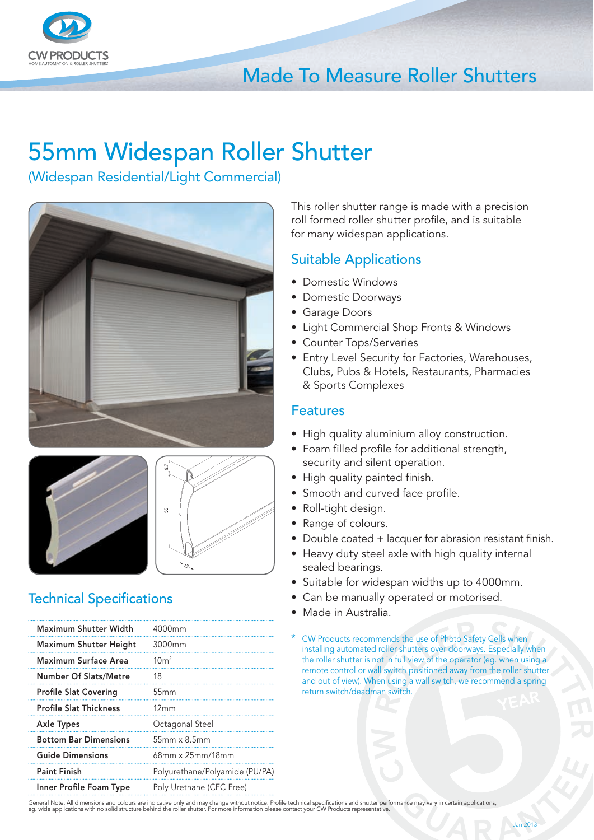

## Made To Measure Roller Shutters

# 55mm Widespan Roller Shutter

(Widespan Residential/Light Commercial)







### **Technical Specifications**

| <b>Maximum Shutter Width</b>  | 4000mm                         |
|-------------------------------|--------------------------------|
| <b>Maximum Shutter Height</b> | 3000mm                         |
| Maximum Surface Area          | 10 <sup>m²</sup>               |
| Number Of Slats/Metre         | 18                             |
| <b>Profile Slat Covering</b>  | 55mm                           |
| <b>Profile Slat Thickness</b> | 12mm                           |
| <b>Axle Types</b>             | Octagonal Steel                |
| <b>Bottom Bar Dimensions</b>  | $55mm \times 8.5mm$            |
| <b>Guide Dimensions</b>       | $68$ mm x $25$ mm/18mm         |
| <b>Paint Finish</b>           | Polyurethane/Polyamide (PU/PA) |
| Inner Profile Foam Type       | Poly Urethane (CFC Free)       |

This roller shutter range is made with a precision roll formed roller shutter profile, and is suitable for many widespan applications.

#### Suitable Applications

- Domestic Windows
- Domestic Doorways
- Garage Doors
- Light Commercial Shop Fronts & Windows
- Counter Tops/Serveries
- Entry Level Security for Factories, Warehouses, Clubs, Pubs & Hotels, Restaurants, Pharmacies & Sports Complexes

#### Features

- High quality aluminium alloy construction.
- Foam filled profile for additional strength, security and silent operation.
- High quality painted finish.
- Smooth and curved face profile.
- Roll-tight design.
- Range of colours.
- Double coated + lacquer for abrasion resistant finish.
- Heavy duty steel axle with high quality internal sealed bearings.
- Suitable for widespan widths up to 4000mm.
- Can be manually operated or motorised.
- Made in Australia.
- CW Products recommends the use of Photo Safety Cells when installing automated roller shutters over doorways. Especially when the roller shutter is not in full view of the operator (eg. when using a remote control or wall switch positioned away from the roller shutter and out of view). When using a wall switch, we recommend a spring return switch/deadman switch.

General Note: All dimensions and colours are indicative only and may change without notice. Profile technical specifications and shutter performance may vary in certain applications,<br>eg. wide applications with no solid str